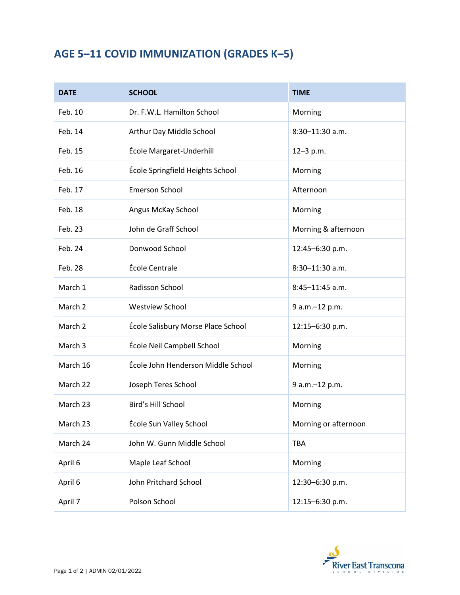## **AGE 5–11 COVID IMMUNIZATION (GRADES K–5)**

| <b>DATE</b> | <b>SCHOOL</b>                      | <b>TIME</b>          |
|-------------|------------------------------------|----------------------|
| Feb. 10     | Dr. F.W.L. Hamilton School         | Morning              |
| Feb. 14     | Arthur Day Middle School           | $8:30 - 11:30$ a.m.  |
| Feb. 15     | École Margaret-Underhill           | $12 - 3 p.m.$        |
| Feb. 16     | École Springfield Heights School   | Morning              |
| Feb. 17     | <b>Emerson School</b>              | Afternoon            |
| Feb. 18     | Angus McKay School                 | Morning              |
| Feb. 23     | John de Graff School               | Morning & afternoon  |
| Feb. 24     | Donwood School                     | 12:45-6:30 p.m.      |
| Feb. 28     | École Centrale                     | 8:30-11:30 a.m.      |
| March 1     | Radisson School                    | $8:45 - 11:45$ a.m.  |
| March 2     | <b>Westview School</b>             | 9 a.m.-12 p.m.       |
| March 2     | École Salisbury Morse Place School | 12:15-6:30 p.m.      |
| March 3     | École Neil Campbell School         | Morning              |
| March 16    | École John Henderson Middle School | Morning              |
| March 22    | Joseph Teres School                | 9 a.m.-12 p.m.       |
| March 23    | Bird's Hill School                 | Morning              |
| March 23    | École Sun Valley School            | Morning or afternoon |
| March 24    | John W. Gunn Middle School         | <b>TBA</b>           |
| April 6     | Maple Leaf School                  | Morning              |
| April 6     | John Pritchard School              | 12:30-6:30 p.m.      |
| April 7     | Polson School                      | 12:15-6:30 p.m.      |